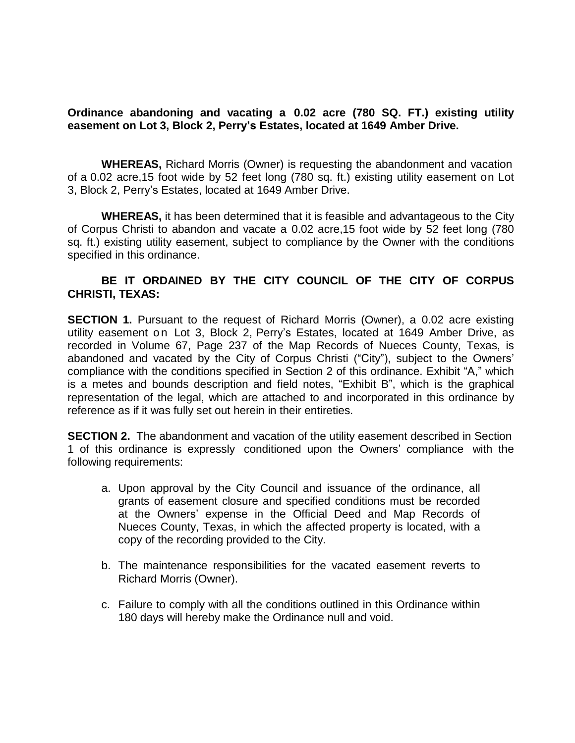## **Ordinance abandoning and vacating a 0.02 acre (780 SQ. FT.) existing utility easement on Lot 3, Block 2, Perry's Estates, located at 1649 Amber Drive.**

**WHEREAS,** Richard Morris (Owner) is requesting the abandonment and vacation of a 0.02 acre,15 foot wide by 52 feet long (780 sq. ft.) existing utility easement on Lot 3, Block 2, Perry's Estates, located at 1649 Amber Drive.

**WHEREAS,** it has been determined that it is feasible and advantageous to the City of Corpus Christi to abandon and vacate a 0.02 acre,15 foot wide by 52 feet long (780 sq. ft.) existing utility easement, subject to compliance by the Owner with the conditions specified in this ordinance.

## **BE IT ORDAINED BY THE CITY COUNCIL OF THE CITY OF CORPUS CHRISTI, TEXAS:**

**SECTION 1.** Pursuant to the request of Richard Morris (Owner), a 0.02 acre existing utility easement on Lot 3, Block 2, Perry's Estates, located at 1649 Amber Drive, as recorded in Volume 67, Page 237 of the Map Records of Nueces County, Texas, is abandoned and vacated by the City of Corpus Christi ("City"), subject to the Owners' compliance with the conditions specified in Section 2 of this ordinance. Exhibit "A," which is a metes and bounds description and field notes, "Exhibit B", which is the graphical representation of the legal, which are attached to and incorporated in this ordinance by reference as if it was fully set out herein in their entireties.

**SECTION 2.** The abandonment and vacation of the utility easement described in Section 1 of this ordinance is expressly conditioned upon the Owners' compliance with the following requirements:

- a. Upon approval by the City Council and issuance of the ordinance, all grants of easement closure and specified conditions must be recorded at the Owners' expense in the Official Deed and Map Records of Nueces County, Texas, in which the affected property is located, with a copy of the recording provided to the City.
- b. The maintenance responsibilities for the vacated easement reverts to Richard Morris (Owner).
- c. Failure to comply with all the conditions outlined in this Ordinance within 180 days will hereby make the Ordinance null and void.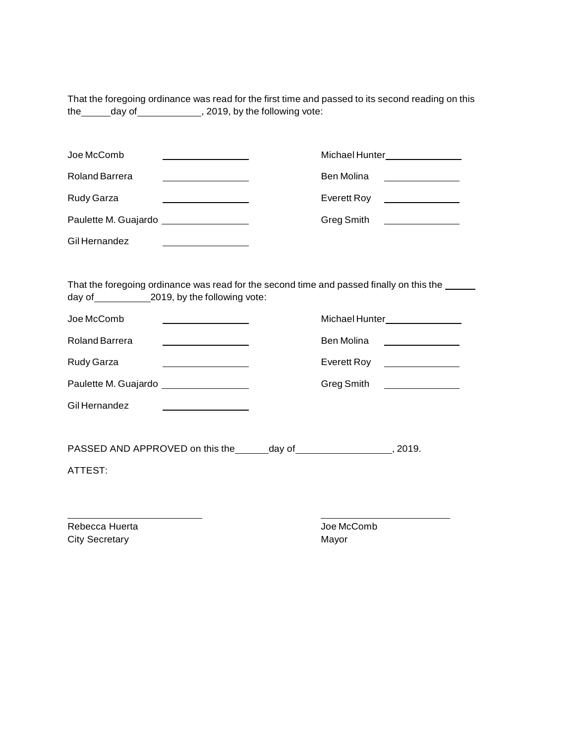That the foregoing ordinance was read for the first time and passed to its second reading on this the \_\_\_\_\_\_ day of \_\_\_\_\_\_\_\_\_\_\_\_\_\_, 2019, by the following vote:

| Joe McComb                                                                               |                                     | Michael Hunter_______________ |                                                                                                                      |  |  |
|------------------------------------------------------------------------------------------|-------------------------------------|-------------------------------|----------------------------------------------------------------------------------------------------------------------|--|--|
| Roland Barrera                                                                           |                                     | Ben Molina                    |                                                                                                                      |  |  |
| <b>Rudy Garza</b>                                                                        |                                     | Everett Roy                   |                                                                                                                      |  |  |
| Paulette M. Guajardo _________________                                                   |                                     | Greg Smith                    | <u> 1980 - Andrea Britain, politik eta politik eta politik eta politik eta politik eta politik eta politik eta p</u> |  |  |
| Gil Hernandez                                                                            |                                     |                               |                                                                                                                      |  |  |
|                                                                                          |                                     |                               |                                                                                                                      |  |  |
| That the foregoing ordinance was read for the second time and passed finally on this the |                                     |                               |                                                                                                                      |  |  |
|                                                                                          | day of 2019, by the following vote: |                               |                                                                                                                      |  |  |

| Joe McComb                                    |  | Michael Hunter |                                                  |
|-----------------------------------------------|--|----------------|--------------------------------------------------|
| Roland Barrera                                |  | Ben Molina     |                                                  |
| <b>Rudy Garza</b>                             |  | Everett Roy    | <u> 1980 - Jan Barbara Barbara, prima popula</u> |
| Paulette M. Guajardo <b>Elección de Santo</b> |  | Greg Smith     |                                                  |
| Gil Hernandez                                 |  |                |                                                  |

PASSED AND APPROVED on this the day of , 2019.

ATTEST:

Rebecca Huerta **Mateura Accomb** Joe McComb City Secretary **Mayor** Mayor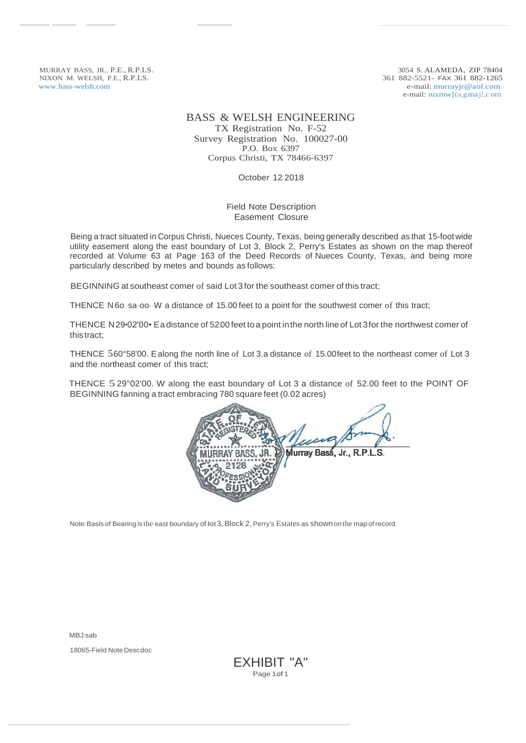MURRAY BASS, JR., P.E., R.P.LS. NIXON M. WELSH, P.E., R.P.LS. [www.hass-welsh.com](http://www.hass-welsh.com/)

3054 S. ALAMEDA, ZIP 78404 361 882-5521- FAX 361 882-1265 e-mail: [murrayjr@aol.com](mailto:murrayjr@aol.com) e-mail: nixmw](a,gma j!,c orn

## BASS & WELSH ENGINEERING

TX Registration No. F-52 Survey Registration No. 100027-00 P.O. Box 6397 Corpus Christi, TX 78466-6397

October 12.2018

## Field Note Description Easement Closure

Being a tract situated in Corpus Christi, Nueces County, Texas, being generally described as that 15-footwide utility easement along the east boundary of Lot 3, Block 2, Perry's Estates as shown on the map thereof recorded at Volume 63 at Page 163 of the Deed Records of Nueces County, Texas, and being more particularly described by metes and bounds as follows:

BEGINNING at southeast comer of said Lot 3 for the southeast comer of this tract;

THENCE N 6o sa·oo· W a distance of 15.00 feet to a point for the southwest comer of this tract;

THENCE N29•02'00• Ea distance of 52.00 feet toa point inthe north line of Lot 3for the northwest comer of thistract;

THENCE 560°58'00. Ealong the north line of Lot 3,a distance of 15.00feet to the northeast comer of Lot 3 and the northeast comer of this tract;

THENCE 5 29°02'00. W along the east boundary of Lot 3 a distance of 52.00 feet to the POINT OF BEGINNING fanning a tract embracing 780 square feet (0.02 acres)

| Murray Bass, Jr., R.P.L.S.<br>RAY BASS, JR. |  |
|---------------------------------------------|--|
| $2^{\circ}$                                 |  |
|                                             |  |
|                                             |  |
|                                             |  |

Note: Basls of Bearing is the east boundary of lot 3, Block 2, Perry's Estates as shown on the map of record.

MBJ:sab

18065-Field Note Desc.doc